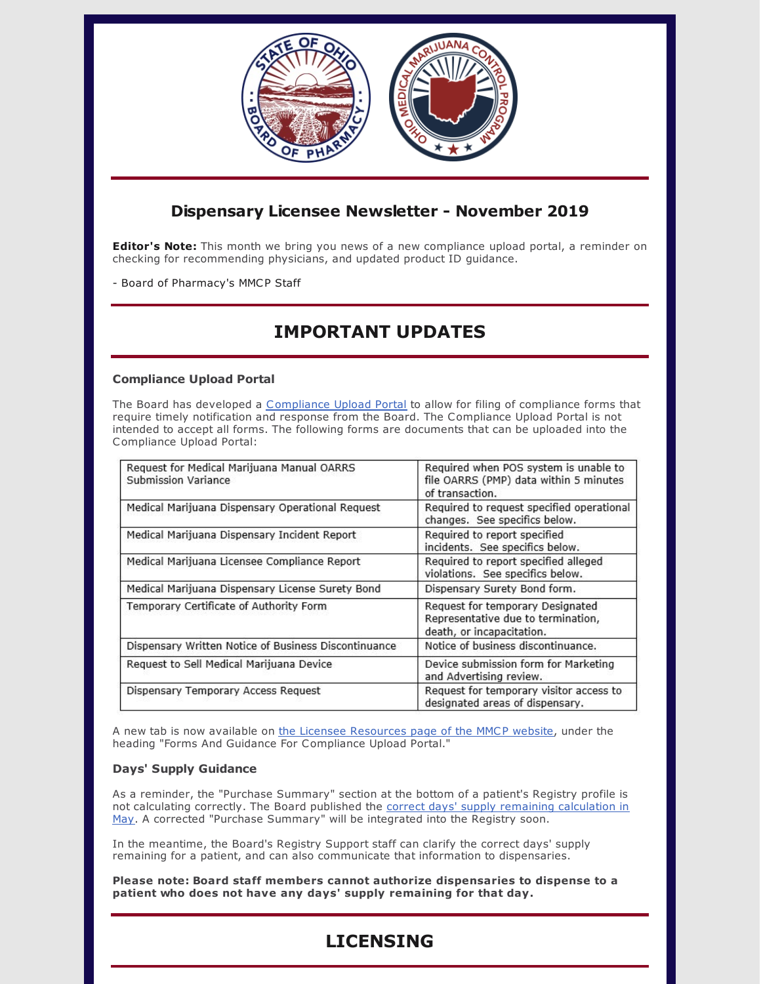

### **Dispensary Licensee Newsletter - November 2019**

**Editor's Note:** This month we bring you news of a new compliance upload portal, a reminder on checking for recommending physicians, and updated product ID guidance.

- Board of Pharmacy's MMCP Staff

# **IMPORTANT UPDATES**

#### **Compliance Upload Portal**

The Board has developed a [Compliance](https://www.pharmacy.ohio.gov/Licensing/DocumentUpload.aspx) Upload Portal to allow for filing of compliance forms that require timely notification and response from the Board. The Compliance Upload Portal is not intended to accept all forms. The following forms are documents that can be uploaded into the Compliance Upload Portal:

| Request for Medical Marijuana Manual OARRS<br>Submission Variance | Required when POS system is unable to<br>file OARRS (PMP) data within 5 minutes<br>of transaction.  |
|-------------------------------------------------------------------|-----------------------------------------------------------------------------------------------------|
| Medical Marijuana Dispensary Operational Request                  | Required to request specified operational<br>changes. See specifics below.                          |
| Medical Marijuana Dispensary Incident Report                      | Required to report specified<br>incidents. See specifics below.                                     |
| Medical Marijuana Licensee Compliance Report                      | Required to report specified alleged<br>violations. See specifics below.                            |
| Medical Marijuana Dispensary License Surety Bond                  | Dispensary Surety Bond form.                                                                        |
| Temporary Certificate of Authority Form                           | Request for temporary Designated<br>Representative due to termination,<br>death, or incapacitation. |
| Dispensary Written Notice of Business Discontinuance              | Notice of business discontinuance.                                                                  |
| Request to Sell Medical Marijuana Device                          | Device submission form for Marketing<br>and Advertising review.                                     |
| Dispensary Temporary Access Request                               | Request for temporary visitor access to<br>designated areas of dispensary.                          |

A new tab is now available on the Licensee [Resources](https://www.medicalmarijuana.ohio.gov/LicenseeResources) page of the MMCP website, under the heading "Forms And Guidance For Compliance Upload Portal."

#### **Days' Supply Guidance**

As a reminder, the "Purchase Summary" section at the bottom of a patient's Registry profile is not calculating correctly. The Board published the correct days' supply remaining [calculation](https://www.medicalmarijuana.ohio.gov/Documents/LicenseeResources/Dispensary Licensee Resources/DISPENSARY TECHNOLOGY & SYSTEMS/Quick Reference Guide - Remaining Days Supply Calculator.pdf) in May. A corrected "Purchase Summary" will be integrated into the Registry soon.

In the meantime, the Board's Registry Support staff can clarify the correct days' supply remaining for a patient, and can also communicate that information to dispensaries.

**Please note: Board staff members cannot authorize dispensaries to dispense to a patient who does not have any days' supply remaining for that day.**

## **LICENSING**